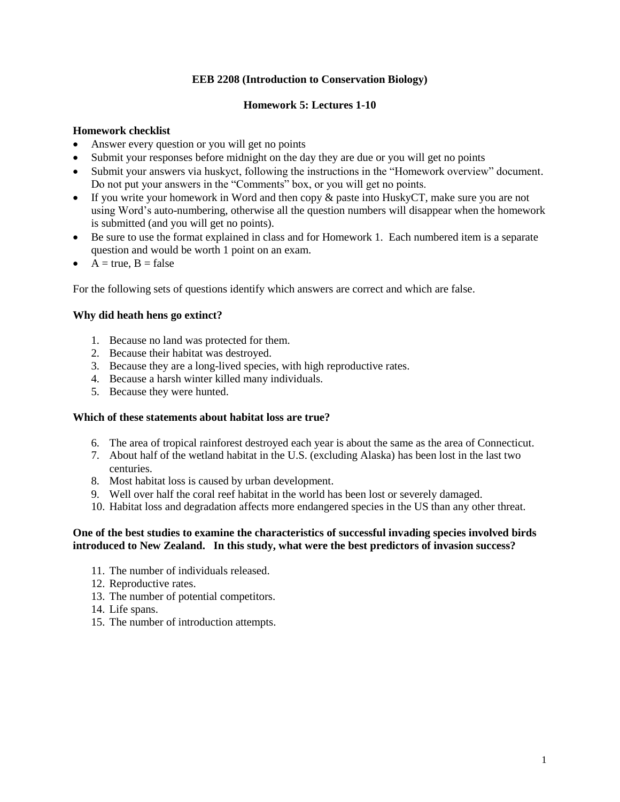## **EEB 2208 (Introduction to Conservation Biology)**

## **Homework 5: Lectures 1-10**

## **Homework checklist**

- Answer every question or you will get no points
- Submit your responses before midnight on the day they are due or you will get no points
- Submit your answers via huskyct, following the instructions in the "Homework overview" document. Do not put your answers in the "Comments" box, or you will get no points.
- If you write your homework in Word and then copy & paste into HuskyCT, make sure you are not using Word's auto-numbering, otherwise all the question numbers will disappear when the homework is submitted (and you will get no points).
- Be sure to use the format explained in class and for Homework 1. Each numbered item is a separate question and would be worth 1 point on an exam.
- $A = true, B = false$

For the following sets of questions identify which answers are correct and which are false.

# **Why did heath hens go extinct?**

- 1. Because no land was protected for them.
- 2. Because their habitat was destroyed.
- 3. Because they are a long-lived species, with high reproductive rates.
- 4. Because a harsh winter killed many individuals.
- 5. Because they were hunted.

### **Which of these statements about habitat loss are true?**

- 6. The area of tropical rainforest destroyed each year is about the same as the area of Connecticut.
- 7. About half of the wetland habitat in the U.S. (excluding Alaska) has been lost in the last two centuries.
- 8. Most habitat loss is caused by urban development.
- 9. Well over half the coral reef habitat in the world has been lost or severely damaged.
- 10. Habitat loss and degradation affects more endangered species in the US than any other threat.

### **One of the best studies to examine the characteristics of successful invading species involved birds introduced to New Zealand. In this study, what were the best predictors of invasion success?**

- 11. The number of individuals released.
- 12. Reproductive rates.
- 13. The number of potential competitors.
- 14. Life spans.
- 15. The number of introduction attempts.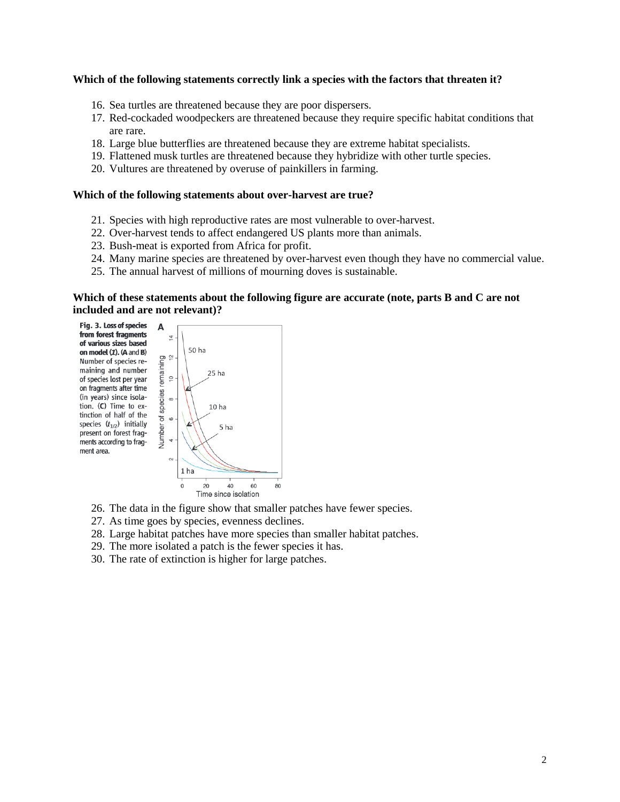#### **Which of the following statements correctly link a species with the factors that threaten it?**

- 16. Sea turtles are threatened because they are poor dispersers.
- 17. Red-cockaded woodpeckers are threatened because they require specific habitat conditions that are rare.
- 18. Large blue butterflies are threatened because they are extreme habitat specialists.
- 19. Flattened musk turtles are threatened because they hybridize with other turtle species.
- 20. Vultures are threatened by overuse of painkillers in farming.

### **Which of the following statements about over-harvest are true?**

- 21. Species with high reproductive rates are most vulnerable to over-harvest.
- 22. Over-harvest tends to affect endangered US plants more than animals.
- 23. Bush-meat is exported from Africa for profit.
- 24. Many marine species are threatened by over-harvest even though they have no commercial value.
- 25. The annual harvest of millions of mourning doves is sustainable.

### **Which of these statements about the following figure are accurate (note, parts B and C are not included and are not relevant)?**





- 26. The data in the figure show that smaller patches have fewer species.
- 27. As time goes by species, evenness declines.
- 28. Large habitat patches have more species than smaller habitat patches.
- 29. The more isolated a patch is the fewer species it has.
- 30. The rate of extinction is higher for large patches.